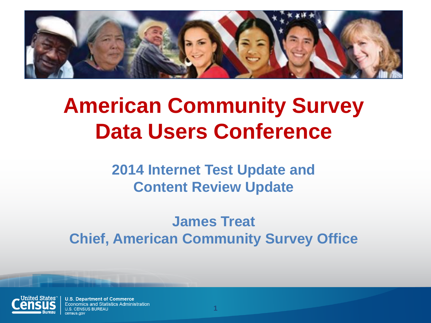

# **American Community Survey Data Users Conference**

**2014 Internet Test Update and Content Review Update**

**James Treat Chief, American Community Survey Office**

**1**

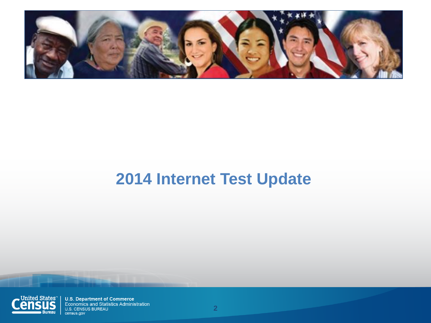

#### **2014 Internet Test Update**

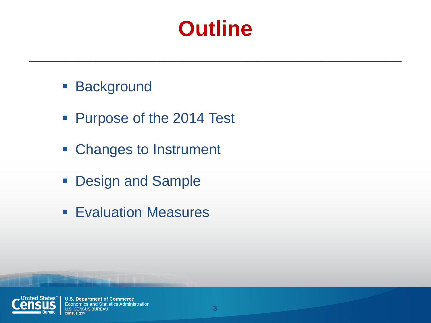## **Outline**

**\_\_\_\_\_\_\_\_\_\_\_\_\_\_\_\_\_\_\_\_\_\_\_\_\_\_\_\_\_\_\_\_\_\_\_**

- **Background**
- **Purpose of the 2014 Test**
- Changes to Instrument
- **Design and Sample**
- **Evaluation Measures**

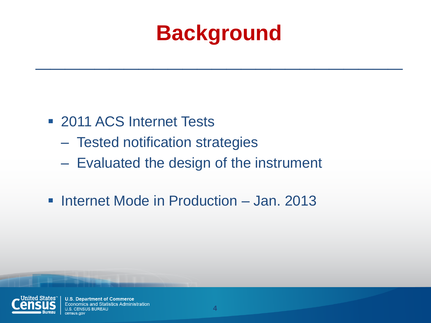# **Background \_\_\_\_\_\_\_\_\_\_\_\_\_\_\_\_\_\_\_\_\_\_\_\_\_**

- **2011 ACS Internet Tests** 
	- Tested notification strategies
	- Evaluated the design of the instrument
- **Internet Mode in Production Jan. 2013**

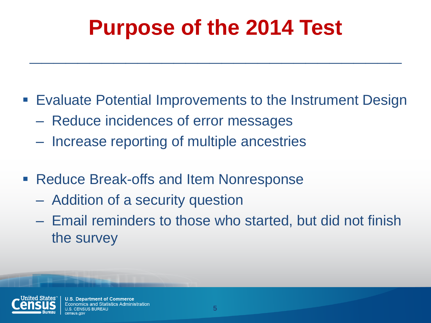# **Purpose of the 2014 Test**

**\_\_\_\_\_\_\_\_\_\_\_\_\_\_\_\_\_\_\_\_\_\_\_\_\_\_\_\_\_\_\_**

- Evaluate Potential Improvements to the Instrument Design
	- Reduce incidences of error messages
	- Increase reporting of multiple ancestries
- Reduce Break-offs and Item Nonresponse
	- Addition of a security question
	- Email reminders to those who started, but did not finish the survey



**U.S. Department of Commerce** omics and Statistics Administration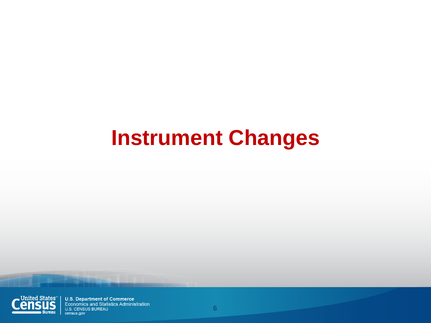# **Instrument Changes**

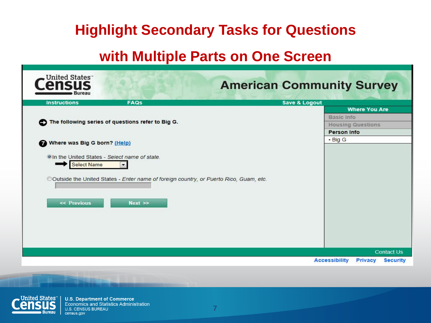#### **Highlight Secondary Tasks for Questions**

#### **with Multiple Parts on One Screen**

| United States <sup>®</sup><br>Bureau                                                                                                                                              |                                                                                                                  | <b>American Community Survey</b> |                                                                                                |
|-----------------------------------------------------------------------------------------------------------------------------------------------------------------------------------|------------------------------------------------------------------------------------------------------------------|----------------------------------|------------------------------------------------------------------------------------------------|
| <b>Instructions</b>                                                                                                                                                               | <b>FAQs</b>                                                                                                      | <b>Save &amp; Logout</b>         |                                                                                                |
| The following series of questions refer to Big G.<br>o<br>Where was Big G born? (Help)<br>Ω<br>OIn the United States - Select name of state.<br><b>Select Name</b><br><< Previous | $\blacksquare$<br>©Outside the United States - Enter name of foreign country, or Puerto Rico, Guam, etc.<br>Next |                                  | <b>Where You Are</b><br>Basic Info<br><b>Housing Questions</b><br>Person Info<br>$\cdot$ Big G |
|                                                                                                                                                                                   |                                                                                                                  |                                  | <b>Contact Us</b><br><b>Accessibility</b><br><b>Privacy</b><br><b>Security</b>                 |

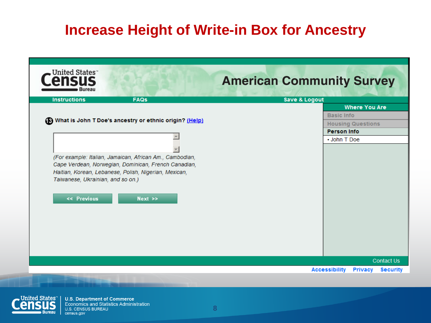#### **Increase Height of Write-in Box for Ancestry**

|                                                            | <b>Save &amp; Logout</b> |
|------------------------------------------------------------|--------------------------|
|                                                            | <b>Where You Are</b>     |
| (B) What is John T Doe's ancestry or ethnic origin? (Help) | <b>Basic Info</b>        |
|                                                            | <b>Housing Questions</b> |
|                                                            | <b>Person Info</b>       |
|                                                            | • John T Doe             |
|                                                            |                          |
| (For example: Italian, Jamaican, African Am., Cambodian,   |                          |
| Cape Verdean, Norwegian, Dominican, French Canadian,       |                          |
| Haitian, Korean, Lebanese, Polish, Nigerian, Mexican,      |                          |
|                                                            |                          |
| Taiwanese, Ukrainian, and so on.)                          |                          |
|                                                            |                          |
| << Previous<br>$Next$ $\gg$                                |                          |
|                                                            |                          |
|                                                            |                          |
|                                                            |                          |
|                                                            |                          |
|                                                            |                          |
|                                                            |                          |
|                                                            |                          |
|                                                            |                          |
|                                                            |                          |

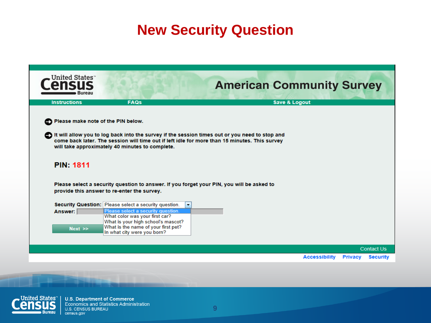#### **New Security Question**

| United States                      |                                                                                                                                                                                                                                                    |                                                             |                 |
|------------------------------------|----------------------------------------------------------------------------------------------------------------------------------------------------------------------------------------------------------------------------------------------------|-------------------------------------------------------------|-----------------|
| <b>Bureau</b>                      |                                                                                                                                                                                                                                                    | <b>American Community Survey</b>                            |                 |
| <b>Instructions</b>                | <b>FAQs</b>                                                                                                                                                                                                                                        | <b>Save &amp; Logout</b>                                    |                 |
| Please make note of the PIN below. | It will allow you to log back into the survey if the session times out or you need to stop and<br>come back later. The session will time out if left idle for more than 15 minutes. This survey<br>will take approximately 40 minutes to complete. |                                                             |                 |
| <b>PIN: 1811</b>                   | Please select a security question to answer. If you forget your PIN, you will be asked to<br>provide this answer to re-enter the survey.                                                                                                           |                                                             |                 |
|                                    | Security Question: Please select a security question.                                                                                                                                                                                              |                                                             |                 |
| Answer:                            | Please select a security question.<br>What color was your first car?                                                                                                                                                                               |                                                             |                 |
|                                    | What is your high school's mascot?                                                                                                                                                                                                                 |                                                             |                 |
| $Next$ $\gg$                       | What is the name of your first pet?<br>In what city were you born?                                                                                                                                                                                 |                                                             |                 |
|                                    |                                                                                                                                                                                                                                                    |                                                             |                 |
|                                    |                                                                                                                                                                                                                                                    | <b>Contact Us</b><br><b>Accessibility</b><br><b>Privacy</b> | <b>Security</b> |

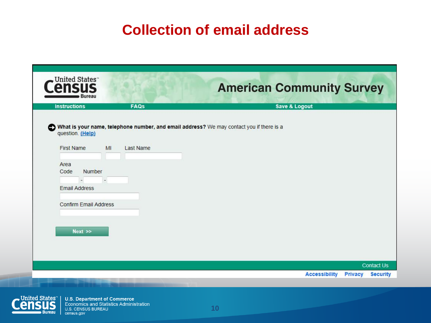#### **Collection of email address**

| <b>FAQs</b><br><b>Instructions</b>                              | <b>Save &amp; Logout</b>                                                                 |
|-----------------------------------------------------------------|------------------------------------------------------------------------------------------|
|                                                                 | What is your name, telephone number, and email address? We may contact you if there is a |
| question. (Help)<br><b>First Name</b><br>MI<br><b>Last Name</b> |                                                                                          |
| Area                                                            |                                                                                          |
| Number<br>Code<br>$\overline{\phantom{a}}$                      |                                                                                          |
| <b>Email Address</b>                                            |                                                                                          |
| <b>Confirm Email Address</b>                                    |                                                                                          |
|                                                                 |                                                                                          |
| Next                                                            |                                                                                          |
|                                                                 |                                                                                          |
|                                                                 |                                                                                          |

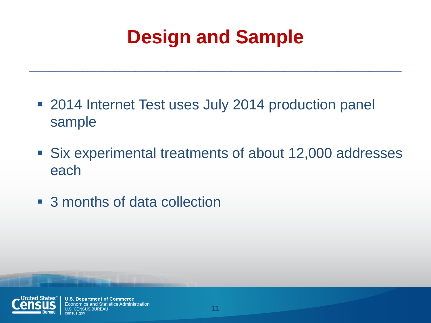## **Design and Sample**

**\_\_\_\_\_\_\_\_\_\_\_\_\_\_\_\_\_\_\_\_\_\_\_\_\_\_\_\_\_\_\_\_\_\_\_**

- 2014 Internet Test uses July 2014 production panel sample
- Six experimental treatments of about 12,000 addresses each
- 3 months of data collection

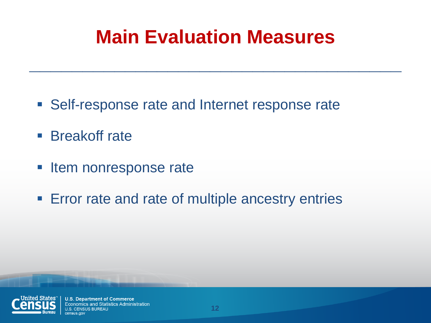## **Main Evaluation Measures**

**\_\_\_\_\_\_\_\_\_\_\_\_\_\_\_\_\_\_\_\_\_\_\_\_\_\_\_\_\_\_\_\_\_\_\_**

- Self-response rate and Internet response rate
- **Breakoff rate**
- **Item nonresponse rate**
- **Error rate and rate of multiple ancestry entries**

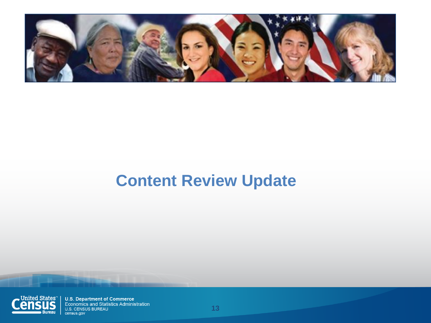

#### **Content Review Update**

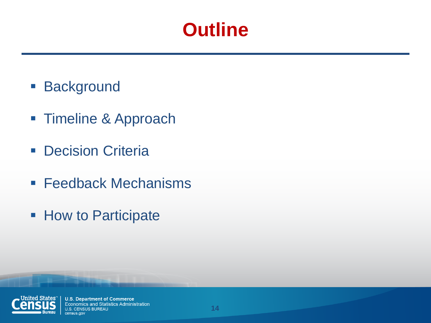### **Outline**

- **Background**
- **Timeline & Approach**
- **Decision Criteria**
- **Feedback Mechanisms**
- **How to Participate**

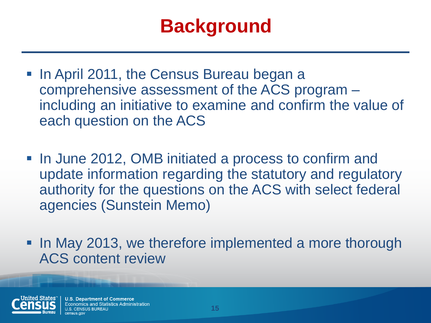## **Background**

- In April 2011, the Census Bureau began a comprehensive assessment of the ACS program – including an initiative to examine and confirm the value of each question on the ACS
- In June 2012, OMB initiated a process to confirm and update information regarding the statutory and regulatory authority for the questions on the ACS with select federal agencies (Sunstein Memo)
- In May 2013, we therefore implemented a more thorough ACS content review

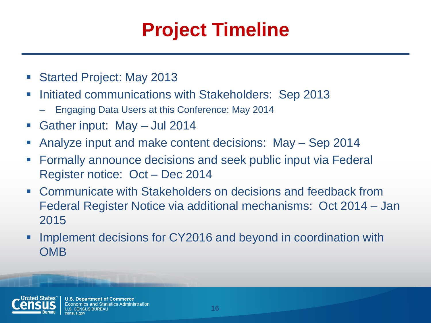## **Project Timeline**

- Started Project: May 2013
- **Initiated communications with Stakeholders: Sep 2013** 
	- Engaging Data Users at this Conference: May 2014
- Gather input: May Jul 2014
- Analyze input and make content decisions: May Sep 2014
- **Formally announce decisions and seek public input via Federal** Register notice: Oct – Dec 2014
- Communicate with Stakeholders on decisions and feedback from Federal Register Notice via additional mechanisms: Oct 2014 – Jan 2015
- **IMPLEMENT DECAY IS NOTEN IN THE IMPLEMENT IS CONTROVER THE IMAGE IN THE IMAGE IS A THE IMAGE IN THE IMAGE IS A OMB**

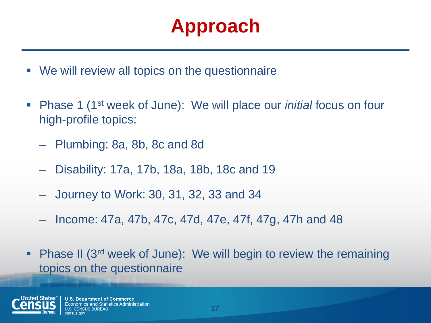## **Approach**

- We will review all topics on the questionnaire
- Phase 1 (1st week of June): We will place our *initial* focus on four high-profile topics:
	- Plumbing: 8a, 8b, 8c and 8d
	- Disability: 17a, 17b, 18a, 18b, 18c and 19
	- Journey to Work: 30, 31, 32, 33 and 34
	- Income: 47a, 47b, 47c, 47d, 47e, 47f, 47g, 47h and 48
- Phase II (3<sup>rd</sup> week of June): We will begin to review the remaining topics on the questionnaire

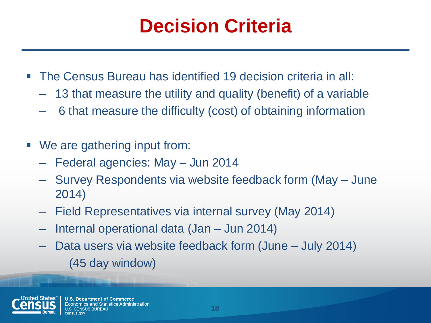## **Decision Criteria**

- The Census Bureau has identified 19 decision criteria in all:
	- 13 that measure the utility and quality (benefit) of a variable
	- 6 that measure the difficulty (cost) of obtaining information
- We are gathering input from:
	- Federal agencies: May Jun 2014
	- Survey Respondents via website feedback form (May June 2014)
	- Field Representatives via internal survey (May 2014)
	- Internal operational data (Jan Jun 2014)
	- Data users via website feedback form (June July 2014) (45 day window)

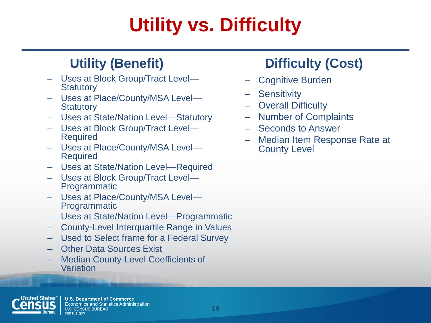## **Utility vs. Difficulty**

#### **Utility (Benefit)**

- Uses at Block Group/Tract Level— **Statutory**
- Uses at Place/County/MSA Level— **Statutory**
- Uses at State/Nation Level—Statutory
- Uses at Block Group/Tract Level— Required
- Uses at Place/County/MSA Level— Required
- Uses at State/Nation Level—Required
- Uses at Block Group/Tract Level— Programmatic
- Uses at Place/County/MSA Level— Programmatic
- Uses at State/Nation Level—Programmatic
- County-Level Interquartile Range in Values
- Used to Select frame for a Federal Survey
- Other Data Sources Exist
- Median County-Level Coefficients of Variation

#### **Difficulty (Cost)**

- Cognitive Burden
- **Sensitivity**
- **Overall Difficulty**
- Number of Complaints
- Seconds to Answer
- Median Item Response Rate at County Level

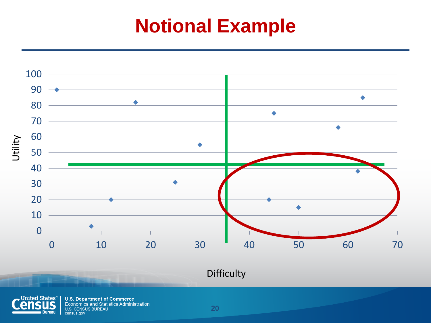### **Notional Example**



Difficulty



**U.S. Department of Commerce Example 20** Economics and Statistics Administration U.S. CENSUS BUREAU census.gov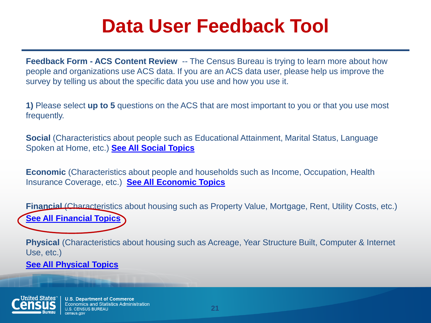### **Data User Feedback Tool**

**Feedback Form - ACS Content Review** -- The Census Bureau is trying to learn more about how people and organizations use ACS data. If you are an ACS data user, please help us improve the survey by telling us about the specific data you use and how you use it.

**1)** Please select **up to 5** questions on the ACS that are most important to you or that you use most frequently.

**Social** (Characteristics about people such as Educational Attainment, Marital Status, Language Spoken at Home, etc.) **[See All Social Topics](http://acsweb1.acs.census.gov/acs/www/about_the_survey/content_review_feedback/index_WF_1A_final_TD.php)**

**Economic** (Characteristics about people and households such as Income, Occupation, Health Insurance Coverage, etc.) **[See All Economic Topics](http://acsweb1.acs.census.gov/acs/www/about_the_survey/content_review_feedback/index_WF_1A_final_TD.php)**

**Financial** (Characteristics about housing such as Property Value, Mortgage, Rent, Utility Costs, etc.) **[See All Fin](http://acsweb1.acs.census.gov/acs/www/about_the_survey/content_review_feedback/index_WF_1A_final_TD.php)***[a](http://acsweb1.acs.census.gov/acs/www/about_the_survey/content_review_feedback/index_WF_1A_final_TD.php)***[ncial Topics](http://acsweb1.acs.census.gov/acs/www/about_the_survey/content_review_feedback/index_WF_1A_final_TD.php)**

**Physical** (Characteristics about housing such as Acreage, Year Structure Built, Computer & Internet Use, etc.)

**[See All Physical Topics](http://acsweb1.acs.census.gov/acs/www/about_the_survey/content_review_feedback/index_WF_1A_final_TD.php)**

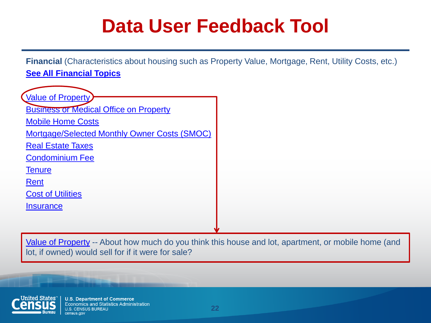### **Data User Feedback Tool**

**Financial** (Characteristics about housing such as Property Value, Mortgage, Rent, Utility Costs, etc.) **[See All Financial Topics](http://acsweb1.acs.census.gov/acs/www/about_the_survey/content_review_feedback/index_WF_1A_final_TD.php)**



Value [of Property](http://acsweb1.acs.census.gov/acs/www/about_the_survey/content_review_feedback/index_WF_1A_final_TD.php) -- About how much do you think this house and lot, apartment, or mobile home (and lot, if owned) would sell for if it were for sale?

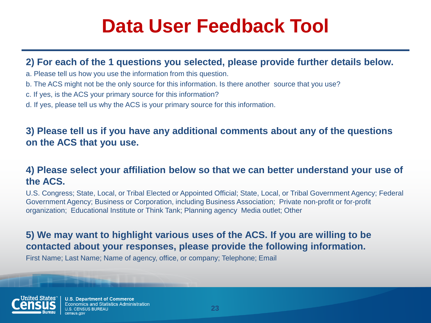### **Data User Feedback Tool**

#### **2) For each of the 1 questions you selected, please provide further details below.**

- a. Please tell us how you use the information from this question.
- b. The ACS might not be the only source for this information. Is there another source that you use?
- c. If yes, is the ACS your primary source for this information?
- d. If yes, please tell us why the ACS is your primary source for this information.

#### **3) Please tell us if you have any additional comments about any of the questions on the ACS that you use.**

#### **4) Please select your affiliation below so that we can better understand your use of the ACS.**

U.S. Congress; State, Local, or Tribal Elected or Appointed Official; State, Local, or Tribal Government Agency; Federal Government Agency; Business or Corporation, including Business Association; Private non-profit or for-profit organization; Educational Institute or Think Tank; Planning agency Media outlet; Other

#### **5) We may want to highlight various uses of the ACS. If you are willing to be contacted about your responses, please provide the following information.**

First Name; Last Name; Name of agency, office, or company; Telephone; Email